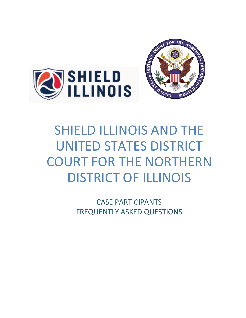



# SHIELD ILLINOIS AND THE UNITED STATES DISTRICT COURT FOR THE NORTHERN DISTRICT OF ILLINOIS

CASE PARTICIPANTS FREQUENTLY ASKED QUESTIONS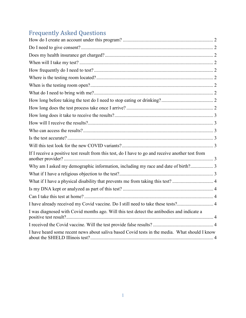## Frequently Asked Questions

| If I receive a positive test result from this test, do I have to go and receive another test from |
|---------------------------------------------------------------------------------------------------|
| Why am I asked my demographic information, including my race and date of birth? 3                 |
|                                                                                                   |
| What if I have a physical disability that prevents me from taking this test?  4                   |
|                                                                                                   |
|                                                                                                   |
| I have already received my Covid vaccine. Do I still need to take these tests? 4                  |
| I was diagnosed with Covid months ago. Will this test detect the antibodies and indicate a        |
|                                                                                                   |
| I have heard some recent news about saliva based Covid tests in the media. What should I know     |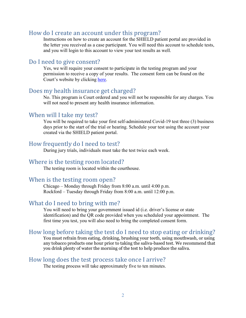#### <span id="page-2-0"></span>How do I create an account under this program?

Instructions on how to create an account for the SHIELD patient portal are provided in the letter you received as a case participant. You will need this account to schedule tests, and you will login to this account to view your test results as well.

#### <span id="page-2-1"></span>Do I need to give consent?

Yes, we will require your consent to participate in the testing program and your permission to receive a copy of your results. The consent form can be found on the Court's website by clicking [here.](https://www.ilnd.uscourts.gov/_assets/_documents/_forms/_clerksoffice/rules/admin/pdf-orders/Covid%20Test%20Consent%20Form%20for%20Case%20Participants.pdf)

#### <span id="page-2-2"></span>Does my health insurance get charged?

No. This program is Court ordered and you will not be responsible for any charges. You will not need to present any health insurance information.

#### <span id="page-2-3"></span>When will I take my test?

You will be required to take your first self-administered Covid-19 test three (3) business days prior to the start of the trial or hearing. Schedule your test using the account your created via the SHIELD patient portal.

#### <span id="page-2-4"></span>How frequently do I need to test?

During jury trials, individuals must take the test twice each week.

#### <span id="page-2-5"></span>Where is the testing room located?

The testing room is located within the courthouse.

#### <span id="page-2-6"></span>When is the testing room open?

Chicago – Monday through Friday from 8:00 a.m. until 4:00 p.m. Rockford – Tuesday through Friday from 8:00 a.m. until 12:00 p.m.

#### <span id="page-2-7"></span>What do I need to bring with me?

You will need to bring your government issued id (i.e. driver's license or state identification) and the QR code provided when you scheduled your appointment. The first time you test, you will also need to bring the completed consent form.

#### <span id="page-2-8"></span>How long before taking the test do I need to stop eating or drinking?

You must refrain from eating, drinking, brushing your teeth, using mouthwash, or using any tobacco products one hour prior to taking the saliva-based test. We recommend that you drink plenty of water the morning of the test to help produce the saliva.

#### <span id="page-2-9"></span>How long does the test process take once I arrive?

The testing process will take approximately five to ten minutes.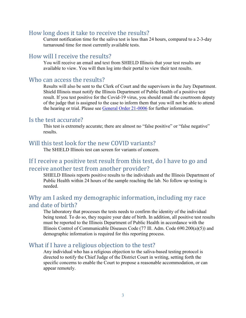#### <span id="page-3-0"></span>How long does it take to receive the results?

Current notification time for the saliva test is less than 24 hours, compared to a 2-3-day turnaround time for most currently available tests.

#### <span id="page-3-1"></span>How will I receive the results?

You will receive an email and text from SHIELD Illinois that your test results are available to view. You will then log into their portal to view their test results.

#### <span id="page-3-2"></span>Who can access the results?

Results will also be sent to the Clerk of Court and the supervisors in the Jury Department. Shield Illinois must notify the Illinois Department of Public Health of a positive test result. If you test positive for the Covid-19 virus, you should email the courtroom deputy of the judge that is assigned to the case to inform them that you will not be able to attend the hearing or trial. Please see [General Order](https://www.ilnd.uscourts.gov/_assets/_documents/_forms/_clerksoffice/rules/admin/pdf-orders/General%20Order%2021-0006%20Plan%20for%20the%20Safe%20Resumption%20of%20Jury%20Trials%20in%20the%20Northern%20District%20of%20Illinois%20-FINAL.pdf) 21-0006 for further information.

#### <span id="page-3-3"></span>Is the test accurate?

This test is extremely accurate; there are almost no "false positive" or "false negative" results.

#### <span id="page-3-4"></span>Will this test look for the new COVID variants?

The SHIELD Illinois test can screen for variants of concern.

## <span id="page-3-5"></span>If I receive a positive test result from this test, do I have to go and receive another test from another provider?

SHIELD Illinois reports positive results to the individuals and the Illinois Department of Public Health within 24 hours of the sample reaching the lab. No follow up testing is needed.

## <span id="page-3-6"></span>Why am I asked my demographic information, including my race and date of birth?

The laboratory that processes the tests needs to confirm the identity of the individual being tested. To do so, they require your date of birth. In addition, all positive test results must be reported to the Illinois Department of Public Health in accordance with the Illinois Control of Communicable Diseases Code (77 Ill. Adm. Code 690.200(a)(5)) and demographic information is required for this reporting process.

#### <span id="page-3-7"></span>What if I have a religious objection to the test?

Any individual who has a religious objection to the saliva-based testing protocol is directed to notify the Chief Judge of the District Court in writing, setting forth the specific concerns to enable the Court to propose a reasonable accommodation, or can appear remotely.